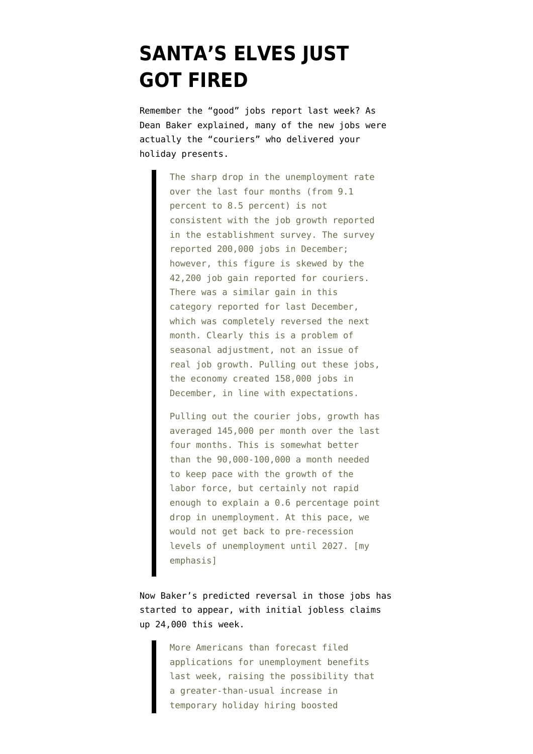## **[SANTA'S ELVES JUST](https://www.emptywheel.net/2012/01/12/santas-elves-just-got-fired/) [GOT FIRED](https://www.emptywheel.net/2012/01/12/santas-elves-just-got-fired/)**

Remember the "good" jobs report last week? As Dean Baker [explained](http://www.cepr.net/index.php/data-bytes/jobs-bytes/unemployment-falls-to-85-percent-but-job-growth-remains-weak), many of the new jobs were actually the "couriers" who delivered your holiday presents.

> The sharp drop in the unemployment rate over the last four months (from 9.1 percent to 8.5 percent) is not consistent with the job growth reported in the establishment survey. The survey reported 200,000 jobs in December; however, this figure is skewed by the 42,200 job gain reported for couriers. There was a similar gain in this category reported for last December, which was completely reversed the next month. Clearly this is a problem of seasonal adjustment, not an issue of real job growth. Pulling out these jobs, the economy created 158,000 jobs in December, in line with expectations.

> Pulling out the courier jobs, growth has averaged 145,000 per month over the last four months. This is somewhat better than the 90,000-100,000 a month needed to keep pace with the growth of the labor force, but certainly not rapid enough to explain a 0.6 percentage point drop in unemployment. At this pace, we would not get back to pre-recession levels of unemployment until 2027. [my emphasis]

Now Baker's predicted reversal in those jobs [has](http://www.bloomberg.com/news/2012-01-12/first-time-jobless-claims-in-u-s-increased-more-than-forecast-last-week.html) [started to appear,](http://www.bloomberg.com/news/2012-01-12/first-time-jobless-claims-in-u-s-increased-more-than-forecast-last-week.html) with initial jobless claims up 24,000 this week.

> More Americans than forecast filed applications for unemployment benefits last week, raising the possibility that a greater-than-usual increase in temporary holiday hiring boosted